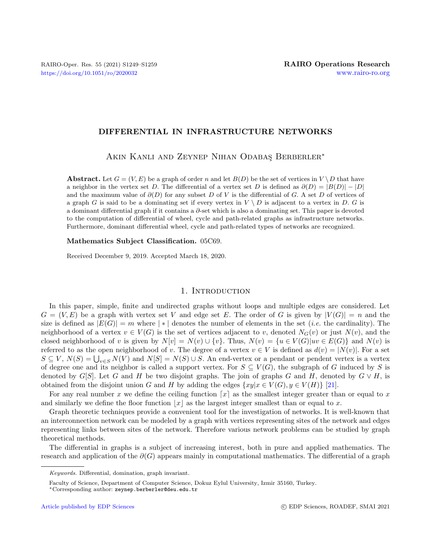# DIFFERENTIAL IN INFRASTRUCTURE NETWORKS

AKIN KANLI AND ZEYNEP NIHAN ODABAS BERBERLER<sup>\*</sup>

**Abstract.** Let  $G = (V, E)$  be a graph of order n and let  $B(D)$  be the set of vertices in  $V \setminus D$  that have a neighbor in the vertex set D. The differential of a vertex set D is defined as  $\partial(D) = |B(D)| - |D|$ and the maximum value of  $\partial(D)$  for any subset D of V is the differential of G. A set D of vertices of a graph G is said to be a dominating set if every vertex in  $V \setminus D$  is adjacent to a vertex in D. G is a dominant differential graph if it contains a ∂-set which is also a dominating set. This paper is devoted to the computation of differential of wheel, cycle and path-related graphs as infrastructure networks. Furthermore, dominant differential wheel, cycle and path-related types of networks are recognized.

#### Mathematics Subject Classification. 05C69.

Received December 9, 2019. Accepted March 18, 2020.

### 1. INTRODUCTION

In this paper, simple, finite and undirected graphs without loops and multiple edges are considered. Let  $G = (V, E)$  be a graph with vertex set V and edge set E. The order of G is given by  $|V(G)| = n$  and the size is defined as  $|E(G)| = m$  where  $| * |$  denotes the number of elements in the set *(i.e.* the cardinality). The neighborhood of a vertex  $v \in V(G)$  is the set of vertices adjacent to v, denoted  $N_G(v)$  or just  $N(v)$ , and the closed neighborhood of v is given by  $N[v] = N(v) \cup \{v\}$ . Thus,  $N(v) = \{u \in V(G)|uv \in E(G)\}$  and  $N(v)$  is referred to as the open neighborhood of v. The degree of a vertex  $v \in V$  is defined as  $d(v) = |N(v)|$ . For a set  $S \subseteq V$ ,  $N(S) = \bigcup_{v \in S} N(V)$  and  $N[S] = N(S) \cup S$ . An end-vertex or a pendant or pendent vertex is a vertex of degree one and its neighbor is called a support vertex. For  $S \subseteq V(G)$ , the subgraph of G induced by S is denoted by G[S]. Let G and H be two disjoint graphs. The join of graphs G and H, denoted by  $G \vee H$ , is obtained from the disjoint union G and H by adding the edges  $\{xy|x \in V(G), y \in V(H)\}\$  [\[21\]](#page-10-0).

For any real number x we define the ceiling function  $\lceil x \rceil$  as the smallest integer greater than or equal to x and similarly we define the floor function  $|x|$  as the largest integer smallest than or equal to x.

Graph theoretic techniques provide a convenient tool for the investigation of networks. It is well-known that an interconnection network can be modeled by a graph with vertices representing sites of the network and edges representing links between sites of the network. Therefore various network problems can be studied by graph theoretical methods.

The differential in graphs is a subject of increasing interest, both in pure and applied mathematics. The research and application of the  $\partial(G)$  appears mainly in computational mathematics. The differential of a graph

Keywords. Differential, domination, graph invariant.

Faculty of Science, Department of Computer Science, Dokuz Eylul University, Izmir 35160, Turkey.

<sup>∗</sup>Corresponding author: [zeynep.berberler@deu.edu.tr](mailto:zeynep.berberler@deu.edu.tr)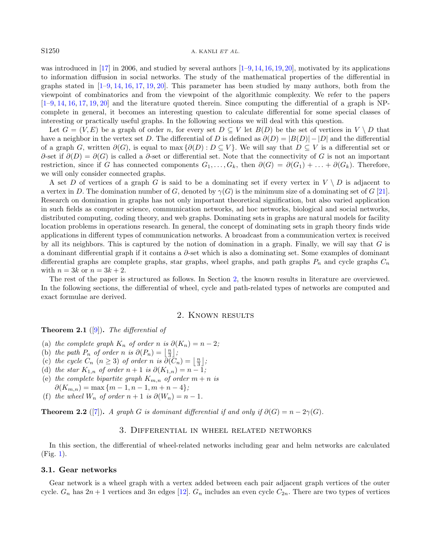#### S1250 A. KANLI ET AL.

was introduced in [\[17\]](#page-10-1) in 2006, and studied by several authors  $[1-9,14,16,19,20]$  $[1-9,14,16,19,20]$  $[1-9,14,16,19,20]$  $[1-9,14,16,19,20]$  $[1-9,14,16,19,20]$  $[1-9,14,16,19,20]$ , motivated by its applications to information diffusion in social networks. The study of the mathematical properties of the differential in graphs stated in  $[1-9, 14, 16, 17, 19, 20]$  $[1-9, 14, 16, 17, 19, 20]$  $[1-9, 14, 16, 17, 19, 20]$  $[1-9, 14, 16, 17, 19, 20]$  $[1-9, 14, 16, 17, 19, 20]$  $[1-9, 14, 16, 17, 19, 20]$  $[1-9, 14, 16, 17, 19, 20]$  $[1-9, 14, 16, 17, 19, 20]$  $[1-9, 14, 16, 17, 19, 20]$  $[1-9, 14, 16, 17, 19, 20]$  $[1-9, 14, 16, 17, 19, 20]$ . This parameter has been studied by many authors, both from the viewpoint of combinatorics and from the viewpoint of the algorithmic complexity. We refer to the papers [\[1](#page-10-2)[–9,](#page-10-3) [14,](#page-10-4) [16,](#page-10-5) [17,](#page-10-1) [19,](#page-10-6) [20\]](#page-10-7) and the literature quoted therein. Since computing the differential of a graph is NPcomplete in general, it becomes an interesting question to calculate differential for some special classes of interesting or practically useful graphs. In the following sections we will deal with this question.

Let  $G = (V, E)$  be a graph of order n, for every set  $D \subseteq V$  let  $B(D)$  be the set of vertices in  $V \setminus D$  that have a neighbor in the vertex set D. The differential of D is defined as  $\partial(D) = |B(D)| - |D|$  and the differential of a graph G, written  $\partial(G)$ , is equal to max  $\{\partial(D) : D \subseteq V\}$ . We will say that  $D \subseteq V$  is a differential set or  $\partial$ -set if  $\partial(D) = \partial(G)$  is called a  $\partial$ -set or differential set. Note that the connectivity of G is not an important restriction, since if G has connected components  $G_1, \ldots, G_k$ , then  $\partial(G) = \partial(G_1) + \ldots + \partial(G_k)$ . Therefore, we will only consider connected graphs.

A set D of vertices of a graph G is said to be a dominating set if every vertex in  $V \setminus D$  is adjacent to a vertex in D. The domination number of G, denoted by  $\gamma(G)$  is the minimum size of a dominating set of G [\[21\]](#page-10-0). Research on domination in graphs has not only important theoretical signification, but also varied application in such fields as computer science, communication networks, ad hoc networks, biological and social networks, distributed computing, coding theory, and web graphs. Dominating sets in graphs are natural models for facility location problems in operations research. In general, the concept of dominating sets in graph theory finds wide applications in different types of communication networks. A broadcast from a communication vertex is received by all its neighbors. This is captured by the notion of domination in a graph. Finally, we will say that  $G$  is a dominant differential graph if it contains a ∂-set which is also a dominating set. Some examples of dominant differential graphs are complete graphs, star graphs, wheel graphs, and path graphs  $P_n$  and cycle graphs  $C_n$ with  $n = 3k$  or  $n = 3k + 2$ .

The rest of the paper is structured as follows. In Section [2,](#page-1-0) the known results in literature are overviewed. In the following sections, the differential of wheel, cycle and path-related types of networks are computed and exact formulae are derived.

# 2. Known results

<span id="page-1-2"></span><span id="page-1-0"></span>**Theorem 2.1** ([\[9\]](#page-10-3)). The differential of

- (a) the complete graph  $K_n$  of order n is  $\partial(K_n) = n 2$ ;
- (b) the path  $P_n$  of order n is  $\partial(P_n) = \left\lfloor \frac{n}{3} \right\rfloor$ ;
- (c) the cycle  $C_n$   $(n \geq 3)$  of order n is  $\partial(\bar{C}_n) = \left\lfloor \frac{n}{3} \right\rfloor$ ;
- (d) the star  $K_{1,n}$  of order  $n+1$  is  $\partial(K_{1,n}) = n-1;$
- (e) the complete bipartite graph  $K_{m,n}$  of order  $m+n$  is
- $\partial(K_{m,n}) = \max\{m-1, n-1, m+n-4\};$
- (f) the wheel  $W_n$  of order  $n+1$  is  $\partial(W_n) = n-1$ .

<span id="page-1-1"></span>**Theorem 2.2** ([\[7\]](#page-10-8)). A graph G is dominant differential if and only if  $\partial(G) = n - 2\gamma(G)$ .

# 3. Differential in wheel related networks

In this section, the differential of wheel-related networks including gear and helm networks are calculated (Fig. [1\)](#page-2-0).

#### 3.1. Gear networks

Gear network is a wheel graph with a vertex added between each pair adjacent graph vertices of the outer cycle.  $G_n$  has  $2n + 1$  vertices and  $3n$  edges [\[12\]](#page-10-9).  $G_n$  includes an even cycle  $C_{2n}$ . There are two types of vertices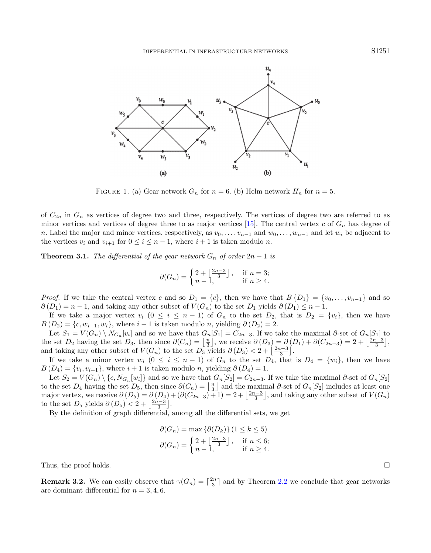<span id="page-2-0"></span>

FIGURE 1. (a) Gear network  $G_n$  for  $n = 6$ . (b) Helm network  $H_n$  for  $n = 5$ .

of  $C_{2n}$  in  $G_n$  as vertices of degree two and three, respectively. The vertices of degree two are referred to as minor vertices and vertices of degree three to as major vertices [\[15\]](#page-10-10). The central vertex c of  $G_n$  has degree of n. Label the major and minor vertices, respectively, as  $v_0, \ldots, v_{n-1}$  and  $w_0, \ldots, w_{n-1}$  and let  $w_i$  be adjacent to the vertices  $v_i$  and  $v_{i+1}$  for  $0 \leq i \leq n-1$ , where  $i+1$  is taken modulo n.

**Theorem 3.1.** The differential of the gear network  $G_n$  of order  $2n + 1$  is

$$
\partial(G_n) = \begin{cases} 2 + \left\lfloor \frac{2n-3}{3} \right\rfloor, & \text{if } n = 3; \\ n-1, & \text{if } n \ge 4. \end{cases}
$$

*Proof.* If we take the central vertex c and so  $D_1 = \{c\}$ , then we have that  $B\{D_1\} = \{v_0, \ldots, v_{n-1}\}$  and so  $\partial(D_1) = n - 1$ , and taking any other subset of  $V(G_n)$  to the set  $D_1$  yields  $\partial(D_1) \leq n - 1$ .

If we take a major vertex  $v_i$   $(0 \le i \le n-1)$  of  $G_n$  to the set  $D_2$ , that is  $D_2 = \{v_i\}$ , then we have  $B(D_2) = \{c, w_{i-1}, w_i\}$ , where  $i-1$  is taken modulo n, yielding  $\partial(D_2) = 2$ .

Let  $S_1 = V(G_n) \setminus N_{G_n}[v_i]$  and so we have that  $G_n[S_1] = C_{2n-3}$ . If we take the maximal ∂-set of  $G_n[S_1]$  to the set  $D_2$  having the set  $D_3$ , then since  $\partial(C_n) = \left\lfloor \frac{n}{3} \right\rfloor$ , we receive  $\partial(D_3) = \partial(D_1) + \partial(C_{2n-3}) = 2 + \left\lfloor \frac{2n-3}{3} \right\rfloor$ . and taking any other subset of  $V(G_n)$  to the set  $D_3$  yields  $\partial(D_3) < 2 + \left\lfloor \frac{2n-3}{3} \right\rfloor$ .

If we take a minor vertex  $w_i$   $(0 \le i \le n-1)$  of  $G_n$  to the set  $D_4$ , that is  $D_4 = \{w_i\}$ , then we have  $B(D_4) = \{v_i, v_{i+1}\},\$  where  $i+1$  is taken modulo n, yielding  $\partial(D_4) = 1$ .

Let  $S_2 = V(G_n) \setminus \{c, N_{G_n}[w_i]\}$  and so we have that  $G_n[S_2] = C_{2n-3}$ . If we take the maximal ∂-set of  $G_n[S_2]$ to the set  $D_4$  having the set  $D_5$ , then since  $\partial(C_n) = \left|\frac{n}{3}\right|$  and the maximal  $\partial$ -set of  $G_n[S_2]$  includes at least one major vertex, we receive  $\partial(D_5) = \partial(D_4) + (\partial(C_{2n-3}) + 1) = 2 + \left\lfloor \frac{2n-3}{3} \right\rfloor$ , and taking any other subset of  $V(G_n)$ to the set  $D_5$  yields  $\partial(D_5) < 2 + \left\lfloor \frac{2n-3}{3} \right\rfloor$ .

By the definition of graph differential, among all the differential sets, we get

$$
\partial(G_n) = \max \left\{ \partial(D_k) \right\} (1 \le k \le 5)
$$
  

$$
\partial(G_n) = \begin{cases} 2 + \left\lfloor \frac{2n-3}{3} \right\rfloor, & \text{if } n \le 6; \\ n-1, & \text{if } n \ge 4. \end{cases}
$$

Thus, the proof holds.  $\square$ 

**Remark 3.2.** We can easily observe that  $\gamma(G_n) = \lceil \frac{2n}{3} \rceil$  and by Theorem [2.2](#page-1-1) we conclude that gear networks are dominant differential for  $n = 3, 4, 6$ .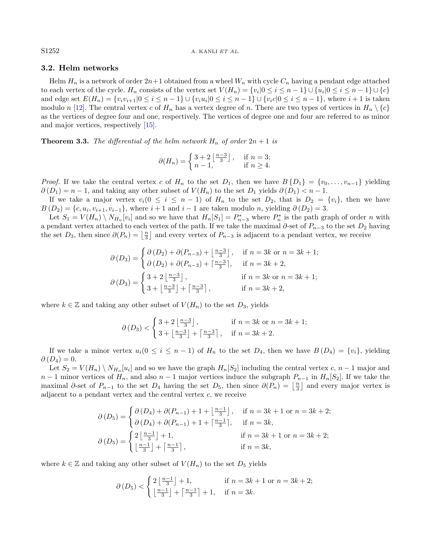S1252 A. KANLI ET AL.

## 3.2. Helm networks

Helm  $H_n$  is a network of order  $2n+1$  obtained from a wheel  $W_n$  with cycle  $C_n$  having a pendant edge attached to each vertex of the cycle.  $H_n$  consists of the vertex set  $V(H_n) = \{v_i | 0 \le i \le n-1\} \cup \{u_i | 0 \le i \le n-1\} \cup \{c\}$ and edge set  $E(H_n) = \{v_i v_{i+1} | 0 \le i \le n-1\} \cup \{v_i u_i | 0 \le i \le n-1\} \cup \{v_i c | 0 \le i \le n-1\}$ , where  $i+1$  is taken modulo n [\[12\]](#page-10-9). The central vertex c of  $H_n$  has a vertex degree of n. There are two types of vertices in  $H_n \setminus \{c\}$ as the vertices of degree four and one, respectively. The vertices of degree one and four are referred to as minor and major vertices, respectively [\[15\]](#page-10-10).

**Theorem 3.3.** The differential of the helm network  $H_n$  of order  $2n + 1$  is

$$
\partial(H_n) = \begin{cases} 3+2\left\lfloor \frac{n-3}{3} \right\rfloor, & \text{if } n = 3; \\ n-1, & \text{if } n \ge 4. \end{cases}
$$

*Proof.* If we take the central vertex c of  $H_n$  to the set  $D_1$ , then we have  $B\{D_1\} = \{v_0, \ldots, v_{n-1}\}\$  yielding  $\partial(D_1) = n - 1$ , and taking any other subset of  $V(H_n)$  to the set  $D_1$  yields  $\partial(D_1) < n - 1$ .

If we take a major vertex  $v_i(0 \leq i \leq n-1)$  of  $H_n$  to the set  $D_2$ , that is  $D_2 = \{v_i\}$ , then we have  $B(D_2) = \{c, u_i, v_{i+1}, v_{i-1}\},\$  where  $i+1$  and  $i-1$  are taken modulo n, yielding  $\partial(D_2) = 3$ .

Let  $S_1 = V(H_n) \setminus N_{H_n}[v_i]$  and so we have that  $H_n[S_1] = P_{n-3}^*$  where  $P_n^*$  is the path graph of order n with a pendant vertex attached to each vertex of the path. If we take the maximal  $\partial$ -set of  $P_{n-3}$  to the set  $D_2$  having the set  $D_3$ , then since  $\partial(P_n) = \lfloor \frac{n}{3} \rfloor$  and every vertex of  $P_{n-3}$  is adjacent to a pendant vertex, we receive

$$
\partial (D_3) = \begin{cases} \partial (D_2) + \partial (P_{n-3}) + \left\lfloor \frac{n-3}{3} \right\rfloor, & \text{if } n = 3k \text{ or } n = 3k+1; \\ \partial (D_2) + \partial (P_{n-3}) + \left\lfloor \frac{n-3}{3} \right\rfloor, & \text{if } n = 3k+2, \\ 3 + 2\left\lfloor \frac{n-3}{3} \right\rfloor, & \text{if } n = 3k \text{ or } n = 3k+1; \\ 3 + \left\lfloor \frac{n-3}{3} \right\rfloor + \left\lceil \frac{n-3}{3} \right\rceil, & \text{if } n = 3k+2, \end{cases}
$$

where  $k \in \mathbb{Z}$  and taking any other subset of  $V(H_n)$  to the set  $D_3$ , yields

$$
\partial(D_3) < \begin{cases} 3+2\left\lfloor \frac{n-3}{3} \right\rfloor, & \text{if } n = 3k \text{ or } n = 3k+1; \\ 3+\left\lfloor \frac{n-3}{3} \right\rfloor + \left\lceil \frac{n-3}{3} \right\rceil, & \text{if } n = 3k+2. \end{cases}
$$

If we take a minor vertex  $u_i(0 \le i \le n-1)$  of  $H_n$  to the set  $D_4$ , then we have  $B(D_4) = \{v_i\}$ , yielding  $\partial(D_4)=0.$ 

Let  $S_2 = V(H_n) \setminus N_{H_n}[u_i]$  and so we have the graph  $H_n[S_2]$  including the central vertex  $c, n-1$  major and  $n-1$  minor vertices of  $H_n$ , and also  $n-1$  major vertices induce the subgraph  $P_{n-1}$  in  $H_n[S_2]$ . If we take the maximal  $\partial$ -set of  $P_{n-1}$  to the set  $D_4$  having the set  $D_5$ , then since  $\partial(P_n) = \lfloor \frac{n}{3} \rfloor$  and every major vertex is adjacent to a pendant vertex and the central vertex c, we receive

$$
\partial(D_5) = \begin{cases}\n\partial(D_4) + \partial(P_{n-1}) + 1 + \left\lfloor \frac{n-1}{3} \right\rfloor, & \text{if } n = 3k + 1 \text{ or } n = 3k + 2; \\
\partial(D_4) + \partial(P_{n-1}) + 1 + \left\lfloor \frac{n-1}{3} \right\rfloor, & \text{if } n = 3k, \\
2 \left\lfloor \frac{n-1}{3} \right\rfloor + 1, & \text{if } n = 3k + 1 \text{ or } n = 3k + 2; \\
\left\lfloor \frac{n-1}{3} \right\rfloor + \left\lceil \frac{n-1}{3} \right\rceil, & \text{if } n = 3k, \\
\text{if } n = 3k,\n\end{cases}
$$

where  $k \in \mathbb{Z}$  and taking any other subset of  $V(H_n)$  to the set  $D_5$  yields

$$
\partial(D_5) < \begin{cases} 2\left\lfloor \frac{n-1}{3} \right\rfloor + 1, & \text{if } n = 3k + 1 \text{ or } n = 3k + 2; \\ \left\lfloor \frac{n-1}{3} \right\rfloor + \left\lceil \frac{n-1}{3} \right\rceil + 1, & \text{if } n = 3k. \end{cases}
$$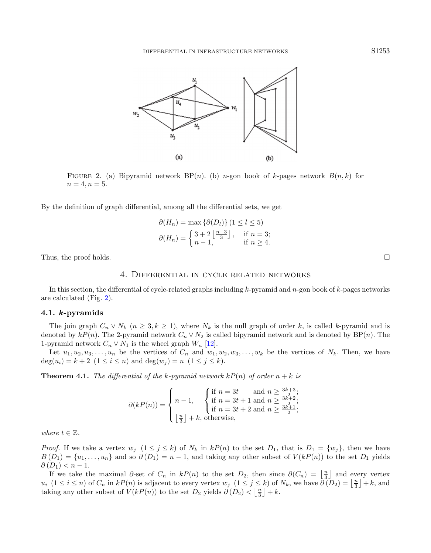<span id="page-4-0"></span>

FIGURE 2. (a) Bipyramid network  $BP(n)$ . (b) n-gon book of k-pages network  $B(n, k)$  for  $n = 4, n = 5.$ 

By the definition of graph differential, among all the differential sets, we get

$$
\partial(H_n) = \max \{ \partial(D_l) \} (1 \le l \le 5)
$$
  

$$
\partial(H_n) = \begin{cases} 3 + 2 \left\lfloor \frac{n-3}{3} \right\rfloor, & \text{if } n = 3; \\ n-1, & \text{if } n \ge 4. \end{cases}
$$

Thus, the proof holds.  $\square$ 

## 4. Differential in cycle related networks

In this section, the differential of cycle-related graphs including  $k$ -pyramid and  $n$ -gon book of  $k$ -pages networks are calculated (Fig. [2\)](#page-4-0).

#### 4.1. k-pyramids

The join graph  $C_n \vee N_k$   $(n \geq 3, k \geq 1)$ , where  $N_k$  is the null graph of order k, is called k-pyramid and is denoted by  $kP(n)$ . The 2-pyramid network  $C_n \vee N_2$  is called bipyramid network and is denoted by BP(n). The 1-pyramid network  $C_n \vee N_1$  is the wheel graph  $W_n$  [\[12\]](#page-10-9).

Let  $u_1, u_2, u_3, \ldots, u_n$  be the vertices of  $C_n$  and  $w_1, w_2, w_3, \ldots, w_k$  be the vertices of  $N_k$ . Then, we have  $deg(u_i) = k + 2$   $(1 \leq i \leq n)$  and  $deg(w_i) = n$   $(1 \leq j \leq k)$ .

**Theorem 4.1.** The differential of the k-pyramid network  $kP(n)$  of order  $n + k$  is

$$
\partial(kP(n)) = \begin{cases} n-1, & \begin{cases} \text{if } n = 3t \quad \text{and } n \ge \frac{3k+3}{2}; \\ \text{if } n = 3t+1 \text{ and } n \ge \frac{3k+2}{2}; \\ \text{if } n = 3t+2 \text{ and } n \ge \frac{3k+1}{2}; \end{cases} \\ \lfloor \frac{n}{3} \rfloor + k, \text{otherwise}, \end{cases}
$$

where  $t \in \mathbb{Z}$ .

*Proof.* If we take a vertex  $w_j$   $(1 \leq j \leq k)$  of  $N_k$  in  $kP(n)$  to the set  $D_1$ , that is  $D_1 = \{w_j\}$ , then we have  $B(D_1) = \{u_1, \ldots, u_n\}$  and so  $\partial(D_1) = n - 1$ , and taking any other subset of  $V(kP(n))$  to the set  $D_1$  yields  $\partial(D_1) < n-1$ .

If we take the maximal  $\partial$ -set of  $C_n$  in  $kP(n)$  to the set  $D_2$ , then since  $\partial(C_n) = \left\lfloor \frac{n}{3} \right\rfloor$  and every vertex  $u_i$   $(1 \leq i \leq n)$  of  $C_n$  in  $kP(n)$  is adjacent to every vertex  $w_j$   $(1 \leq j \leq k)$  of  $N_k$ , we have  $\partial (D_2) = \lfloor \frac{n}{3} \rfloor + k$ , and taking any other subset of  $V(kP(n))$  to the set  $D_2$  yields  $\partial(D_2) < \lfloor \frac{n}{3} \rfloor + k$ .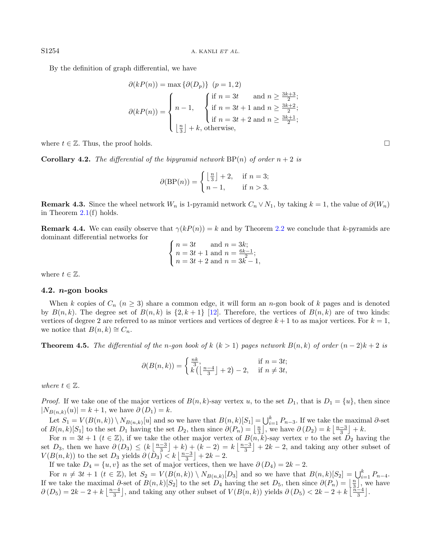By the definition of graph differential, we have

$$
\partial(kP(n)) = \max \{ \partial(D_p) \} \quad (p = 1, 2)
$$
\n
$$
\partial(kP(n)) = \begin{cases} n - 1, & \text{if } n = 3t \quad \text{and } n \ge \frac{3k+3}{2}; \\ n - 1, & \text{if } n = 3t+1 \text{ and } n \ge \frac{3k+2}{2}; \\ \text{if } n = 3t+2 \text{ and } n \ge \frac{3k+1}{2}; \\ \lfloor \frac{n}{3} \rfloor + k, & \text{otherwise,} \end{cases}
$$

where  $t \in \mathbb{Z}$ . Thus, the proof holds.

**Corollary 4.2.** The differential of the bipyramid network  $BP(n)$  of order  $n + 2$  is

$$
\partial(\text{BP}(n)) = \begin{cases} \left\lfloor \frac{n}{3} \right\rfloor + 2, & \text{if } n = 3; \\ n - 1, & \text{if } n > 3. \end{cases}
$$

**Remark 4.3.** Since the wheel network  $W_n$  is 1-pyramid network  $C_n \vee N_1$ , by taking  $k = 1$ , the value of  $\partial(W_n)$ in Theorem  $2.1(f)$  $2.1(f)$  holds.

**Remark 4.4.** We can easily observe that  $\gamma(kP(n)) = k$  and by Theorem [2.2](#page-1-1) we conclude that k-pyramids are dominant differential networks for

$$
\begin{cases} n = 3t & \text{and } n = 3k; \\ n = 3t + 1 & \text{and } n = \frac{6k - 1}{2}; \\ n = 3t + 2 & \text{and } n = 3k - 1, \end{cases}
$$

where  $t \in \mathbb{Z}$ .

#### 4.2.  $n$ -gon books

When k copies of  $C_n$  ( $n \geq 3$ ) share a common edge, it will form an n-gon book of k pages and is denoted by  $B(n, k)$ . The degree set of  $B(n, k)$  is  $\{2, k+1\}$  [\[12\]](#page-10-9). Therefore, the vertices of  $B(n, k)$  are of two kinds: vertices of degree 2 are referred to as minor vertices and vertices of degree  $k + 1$  to as major vertices. For  $k = 1$ , we notice that  $B(n, k) \cong C_n$ .

**Theorem 4.5.** The differential of the n-gon book of k  $(k > 1)$  pages network  $B(n, k)$  of order  $(n - 2)k + 2$  is

$$
\partial(B(n,k)) = \begin{cases} \frac{nk}{3}, & \text{if } n = 3t; \\ k\left(\left\lfloor \frac{n-4}{3} \right\rfloor + 2\right) - 2, & \text{if } n \neq 3t, \end{cases}
$$

where  $t \in \mathbb{Z}$ .

*Proof.* If we take one of the major vertices of  $B(n, k)$ -say vertex u, to the set  $D_1$ , that is  $D_1 = \{u\}$ , then since  $|N_{B(n,k)}(u)| = k + 1$ , we have  $\partial(D_1) = k$ .

Let  $S_1 = V(B(n, k)) \setminus N_{B(n, k)}[u]$  and so we have that  $B(n, k)[S_1] = \bigcup_{i=1}^k P_{n-3}$ . If we take the maximal ∂-set of  $B(n,k)[S_1]$  to the set  $D_1$  having the set  $D_2$ , then since  $\partial(P_n) = \lfloor \frac{n}{3} \rfloor$ , we have  $\partial(D_2) = k \lfloor \frac{n-3}{3} \rfloor + k$ .

For  $n = 3t + 1$   $(t \in \mathbb{Z})$ , if we take the other major vertex of  $B(n, k)$ -say vertex v to the set  $D_2$  having the set  $D_3$ , then we have  $\partial(D_3) \leq (k \left\lfloor \frac{n-3}{3} \right\rfloor + k) + (k-2) = k \left\lfloor \frac{n-3}{3} \right\rfloor + 2k - 2$ , and taking any other subset of  $V(B(n,k))$  to the set  $D_3$  yields  $\partial(\overline{D}_3) \leq k \left\lfloor \frac{n-3}{3} \right\rfloor + 2k - 2$ .

If we take  $D_4 = \{u, v\}$  as the set of major vertices, then we have  $\partial(D_4) = 2k - 2$ .

For  $n \neq 3t + 1$   $(t \in \mathbb{Z})$ , let  $S_2 = V(B(n,k)) \setminus N_{B(n,k)}[D_3]$  and so we have that  $B(n,k)[S_2] = \bigcup_{i=1}^k P_{n-4}$ . If we take the maximal  $\partial$ -set of  $B(n,k)[S_2]$  to the set  $D_4$  having the set  $D_5$ , then since  $\partial(P_n) = \lfloor \frac{n}{3} \rfloor$ , we have  $\partial(D_5) = 2k - 2 + k \left\lfloor \frac{n-4}{3} \right\rfloor$ , and taking any other subset of  $V(B(n, k))$  yields  $\partial(D_5) < 2k - 2 + k \left\lfloor \frac{n-4}{3} \right\rfloor$ .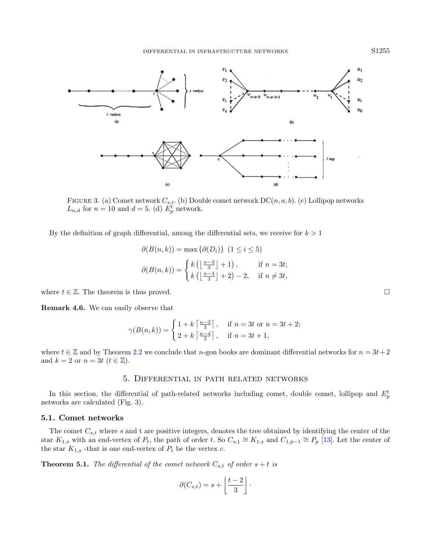<span id="page-6-0"></span>

FIGURE 3. (a) Comet network  $C_{s,t}$ . (b) Double comet network  $DC(n, a, b)$ . (c) Lollipop networks  $L_{n,d}$  for  $n = 10$  and  $d = 5$ . (d)  $E_p^t$  network.

By the definition of graph differential, among the differential sets, we receive for  $k > 1$ 

$$
\partial(B(n,k)) = \max \{ \partial(D_i) \} \quad (1 \le i \le 5)
$$

$$
\partial(B(n,k)) = \begin{cases} k \left( \left\lfloor \frac{n-3}{3} \right\rfloor + 1 \right), & \text{if } n = 3t; \\ k \left( \left\lfloor \frac{n-4}{3} \right\rfloor + 2 \right) - 2, & \text{if } n \ne 3t, \end{cases}
$$

where  $t \in \mathbb{Z}$ . The theorem is thus proved.

Remark 4.6. We can easily observe that

$$
\gamma(B(n,k)) = \begin{cases} 1 + k \left\lceil \frac{n-3}{3} \right\rceil, & \text{if } n = 3t \text{ or } n = 3t + 2; \\ 2 + k \left\lceil \frac{n-4}{3} \right\rceil, & \text{if } n = 3t + 1, \end{cases}
$$

where  $t \in \mathbb{Z}$  and by Theorem [2.2](#page-1-1) we conclude that n-gon books are dominant differential networks for  $n = 3t + 2$ and  $k = 2$  or  $n = 3t$   $(t \in \mathbb{Z})$ .

## 5. Differential in path related networks

In this section, the differential of path-related networks including comet, double comet, lollipop and  $E_p^t$ networks are calculated (Fig. [3\)](#page-6-0).

# 5.1. Comet networks

The comet  $C_{s,t}$  where s and t are positive integers, denotes the tree obtained by identifying the center of the star  $K_{1,s}$  with an end-vertex of  $P_t$ , the path of order t. So  $C_{s,1} \cong K_{1,s}$  and  $C_{1,p-1} \cong P_p$  [\[13\]](#page-10-11). Let the center of the star  $K_{1,s}$  -that is one end-vertex of  $P_t$  be the vertex  $c$ .

**Theorem 5.1.** The differential of the comet network  $C_{s,t}$  of order  $s + t$  is

$$
\partial(C_{s,t}) = s + \left\lfloor \frac{t-2}{3} \right\rfloor.
$$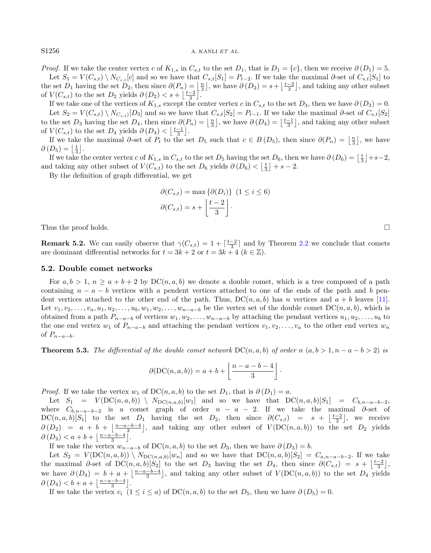*Proof.* If we take the center vertex c of  $K_{1,s}$  in  $C_{s,t}$  to the set  $D_1$ , that is  $D_1 = \{c\}$ , then we receive  $\partial(D_1) = 5$ . Let  $S_1 = V(C_{s,t}) \setminus N_{C_{s,t}}[c]$  and so we have that  $C_{s,t}[S_1] = P_{t-2}$ . If we take the maximal ∂-set of  $C_{s,t}[S_1]$  to the set  $D_1$  having the set  $D_2$ , then since  $\partial(P_n) = \frac{n}{3}$ , we have  $\partial(D_2) = s + \left\lfloor \frac{t-2}{3} \right\rfloor$ , and taking any other subset

of  $V(C_{s,t})$  to the set  $D_2$  yields  $\partial(D_2) < s + \left\lfloor \frac{t-2}{3} \right\rfloor$ . If we take one of the vertices of  $K_{1,s}$  except the center vertex c in  $C_{s,t}$  to the set  $D_3$ , then we have  $\partial(D_3) = 0$ . Let  $S_2 = V(C_{s,t}) \setminus N_{C_{s,t}}[D_3]$  and so we have that  $C_{s,t}[S_2] = P_{t-1}$ . If we take the maximal ∂-set of  $C_{s,t}[S_2]$ to the set  $D_3$  having the set  $D_4$ , then since  $\partial(P_n) = \left\lfloor \frac{n}{3} \right\rfloor$ , we have  $\partial(D_4) = \left\lfloor \frac{t-1}{3} \right\rfloor$ , and taking any other subset of  $V(C_{s,t})$  to the set  $D_4$  yields  $\partial(D_4) < \left\lfloor \frac{t-1}{3} \right\rfloor$ .

If we take the maximal  $\partial$ -set of  $P_t$  to the set  $D_5$  such that  $c \in B(D_5)$ , then since  $\partial(P_n) = \left\lfloor \frac{n}{3} \right\rfloor$ , we have  $\partial(D_5) = \left\lfloor \frac{t}{3} \right\rfloor$ .

 $L_3$  =  $\lfloor \frac{1}{3} \rfloor$ .<br>If we take the center vertex c of  $K_{1,s}$  in  $C_{s,t}$  to the set  $D_5$  having the set  $D_6$ , then we have  $\partial(D_6) = \lfloor \frac{t}{3} \rfloor + s - 2$ , and taking any other subset of  $V(C_{s,t})$  to the set  $D_6$  yields  $\partial(D_6) < \left\lfloor \frac{t}{3} \right\rfloor + s - 2$ .

By the definition of graph differential, we get

$$
\partial(C_{s,t}) = \max \{ \partial(D_i) \} \quad (1 \le i \le 6)
$$

$$
\partial(C_{s,t}) = s + \left\lfloor \frac{t-2}{3} \right\rfloor.
$$

Thus the proof holds.  $\square$ 

**Remark 5.2.** We can easily observe that  $\gamma(C_{s,t}) = 1 + \lceil \frac{t-2}{3} \rceil$  and by Theorem [2.2](#page-1-1) we conclude that comets are dominant differential networks for  $t = 3k + 2$  or  $t = 3k + 4$   $(k \in \mathbb{Z})$ .

### 5.2. Double comet networks

For  $a, b > 1$ ,  $n \ge a + b + 2$  by  $DC(n, a, b)$  we denote a double comet, which is a tree composed of a path containing  $n - a - b$  vertices with a pendent vertices attached to one of the ends of the path and b pendent vertices attached to the other end of the path. Thus,  $DC(n, a, b)$  has n vertices and  $a + b$  leaves [\[11\]](#page-10-12). Let  $v_1, v_2, \ldots, v_a, u_1, u_2, \ldots, u_b, w_1, w_2, \ldots, w_{n-a-b}$  be the vertex set of the double comet  $DC(n, a, b)$ , which is obtained from a path  $P_{n-a-b}$  of vertices  $w_1, w_2, \ldots, w_{n-a-b}$  by attaching the pendant vertices  $u_1, u_2, \ldots, u_b$  to the one end vertex  $w_1$  of  $P_{n-a-b}$  and attaching the pendant vertices  $v_1, v_2, \ldots, v_a$  to the other end vertex  $w_n$ of  $P_{n-a-b}$ .

**Theorem 5.3.** The differential of the double comet network  $DC(n, a, b)$  of order n  $(a, b > 1, n - a - b > 2)$  is

$$
\partial(\mathrm{DC}(n, a, b)) = a + b + \left\lfloor \frac{n - a - b - 4}{3} \right\rfloor.
$$

*Proof.* If we take the vertex  $w_1$  of  $DC(n, a, b)$  to the set  $D_1$ , that is  $\partial(D_1) = a$ .

Let  $S_1 = V(DC(n, a, b)) \setminus N_{DC(n, a, b)}[w_1]$  and so we have that  $DC(n, a, b)[S_1] = C_{b, n-a-b-2}$ , where  $C_{b,n-a-b-2}$  is a comet graph of order  $n-a-2$ . If we take the maximal  $\partial$ -set of  $DC(n, a, b)[S_1]$  to the set  $D_1$  having the set  $D_2$ , then since  $\partial(C_{s,t}) = s + \lfloor \frac{t-2}{3} \rfloor$ , we receive  $\partial(D_2) = a + b + \left[\frac{n-a-b-4}{3}\right],$  and taking any other subset of  $V(DC(n, a, b))$  to the set  $D_2$  yields  $\partial(D_2) < a+b+\lfloor \frac{n-a-b-4}{3} \rfloor.$ 

If we take the vertex  $w_{n-a-b}$  of  $DC(n, a, b)$  to the set  $D_3$ , then we have  $\partial(D_3) = b$ .

Let  $S_2 = V(\text{DC}(n, a, b)) \setminus N_{\text{DC}(n, a, b)}[w_n]$  and so we have that  $\text{DC}(n, a, b)[S_2] = C_{a, n-a-b-2}$ . If we take the maximal  $\partial$ -set of DC $(n, a, b)[S_2]$  to the set  $D_3$  having the set  $D_4$ , then since  $\partial(C_{s,t}) = s + \left\lfloor \frac{t-2}{3} \right\rfloor$ . we have  $\partial(D_4) = b + a + \left\lfloor \frac{n-a-b-4}{3} \right\rfloor$ , and taking any other subset of  $V(\text{DC}(n, a, b))$  to the set  $D_4$  yields  $\partial(D_4) < b + a + \left\lfloor \frac{n-a-b-4}{3} \right\rfloor$ .

If we take the vertex  $v_i$   $(1 \le i \le a)$  of  $DC(n, a, b)$  to the set  $D_5$ , then we have  $\partial(D_5) = 0$ .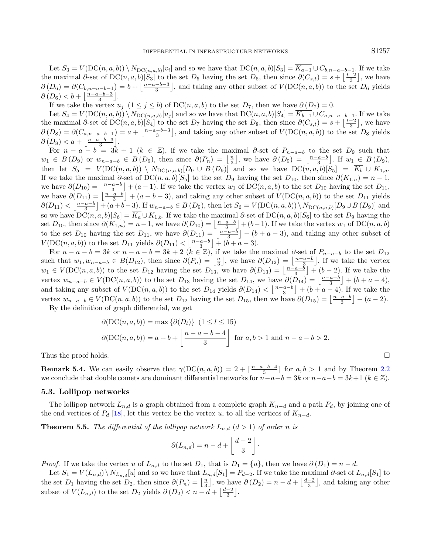Let  $S_3 = V(\text{DC}(n, a, b)) \setminus N_{\text{DC}(n, a, b)}[v_i]$  and so we have that  $\text{DC}(n, a, b)[S_3] = K_{a-1} \cup C_{b, n-a-b-1}$ . If we take the maximal  $\partial$ -set of DC $(n, a, b)[S_3]$  to the set  $D_5$  having the set  $D_6$ , then since  $\partial(C_{s,t}) = s + \left\lfloor \frac{t-2}{3} \right\rfloor$ , we have  $\partial(D_6) = \partial(C_{b,n-a-b-1}) = b + \left\lfloor \frac{n-a-b-3}{3} \right\rfloor$ , and taking any other subset of  $V(\mathrm{DC}(n,a,b))$  to the set  $D_6$  yields  $\partial(D_6) < b + \left\lfloor \frac{n-a-b-3}{3} \right\rfloor.$ 

If we take the vertex  $u_j$  (1 ≤ j ≤ b) of DC(n, a, b) to the set  $D_7$ , then we have  $\partial(D_7) = 0$ .

Let  $S_4 = V(\text{DC}(n, a, b)) \setminus N_{\text{DC}(n, a, b)}[u_j]$  and so we have that  $\text{DC}(n, a, b)[S_4] = K_{b-1} \cup C_{a, n-a-b-1}$ . If we take the maximal  $\partial$ -set of DC $(n, a, b)[S_4]$  to the set  $D_7$  having the set  $D_8$ , then since  $\partial(C_{s,t}) = s + \left\lfloor \frac{t-2}{3} \right\rfloor$ , we have  $\partial(D_8) = \partial(C_{a,n-a-b-1}) = a + \left\lfloor \frac{n-a-b-3}{3} \right\rfloor$ , and taking any other subset of  $V(\text{DC}(n, a, b))$  to the set  $D_8$  yields  $\partial(D_8) < a + \left\lfloor \frac{n-a-b-3}{3} \right\rfloor$ .

For  $n - a - b = 3k + 1$   $(k \in \mathbb{Z})$ , if we take the maximal  $\partial$ -set of  $P_{n-a-b}$  to the set  $D_9$  such that  $w_1 \in B(D_9)$  or  $w_{n-a-b} \in B(D_9)$ , then since  $\partial(P_n) = \left\lfloor \frac{n}{3} \right\rfloor$ , we have  $\partial(D_9) = \left\lfloor \frac{n-a-b}{3} \right\rfloor$ . If  $w_1 \in B(D_9)$ , then let  $S_5 = V(\text{DC}(n, a, b)) \setminus N_{\text{DC}(n, a, b)}[D_9 \cup B(D_9)]$  and so we have  $\text{DC}(n, a, b)[S_5] = K_b \cup K_{1, a}$ . If we take the maximal  $\partial$ -set of DC(n, a, b)[S<sub>5</sub>] to the set D<sub>9</sub> having the set D<sub>10</sub>, then since  $\partial(K_{1,n}) = n-1$ , we have  $\partial(D_{10}) = \left\lfloor \frac{n-a-b}{3} \right\rfloor + (a-1)$ . If we take the vertex  $w_1$  of  $DC(n, a, b)$  to the set  $D_{10}$  having the set  $D_{11}$ , we have  $\partial(D_{11}) = \left\lfloor \frac{n-a-b}{3} \right\rfloor + (a+b-3)$ , and taking any other subset of  $V(\text{DC}(n, a, b))$  to the set  $D_{11}$  yields  $\partial(D_{11}) \leq \left\lfloor \frac{n-a-b}{3} \right\rfloor + (a+b-3)$ . If  $w_{n-a-b} \in B(D_9)$ , then let  $S_6 = V(\text{DC}(n, a, b)) \setminus N_{\text{DC}(n, a, b)}[D_9 \cup B(D_9)]$  and so we have  $DC(n, a, b)[S_6] = \overline{K_a} \cup K_{1,b}$ . If we take the maximal ∂-set of  $DC(n, a, b)[S_6]$  to the set  $D_9$  having the set  $D_{10}$ , then since  $\partial(K_{1,n}) = n-1$ , we have  $\partial(D_{10}) = \lfloor \frac{n-a-b}{3} \rfloor + (b-1)$ . If we take the vertex  $w_1$  of  $DC(n, a, b)$ to the set  $D_{10}$  having the set  $D_{11}$ , we have  $\partial(D_{11}) = \left\lfloor \frac{n-a-b}{3} \right\rfloor + (b+a-3)$ , and taking any other subset of  $V(\text{DC}(n, a, b))$  to the set  $D_{11}$  yields  $\partial(D_{11}) < \left\lfloor \frac{n-a-b}{3} \right\rfloor + (b+a-3)$ .

For  $n - a - b = 3k$  or  $n - a - b = 3k + 2$   $(k \in \mathbb{Z})$ , if we take the maximal  $\partial$ -set of  $P_{n-a-b}$  to the set  $D_{12}$ such that  $w_1, w_{n-a-b} \in B(D_{12})$ , then since  $\partial(P_n) = \left\lfloor \frac{n}{3} \right\rfloor$ , we have  $\partial(D_{12}) = \left\lfloor \frac{n-a-b}{3} \right\rfloor$ . If we take the vertex  $w_1 \in V(\text{DC}(n, a, b))$  to the set  $D_{12}$  having the set  $D_{13}$ , we have  $\partial(D_{13}) = \left\lfloor \frac{n-a-b}{3} \right\rfloor + (b-2)$ . If we take the vertex  $w_{n-a-b} \in V(\text{DC}(n, a, b))$  to the set  $D_{13}$  having the set  $D_{14}$ , we have  $\partial(D_{14}) = \left\lfloor \frac{n-a-b}{3} \right\rfloor + (b+a-4)$ , and taking any subset of  $V(DC(n, a, b))$  to the set  $D_{14}$  yields  $\partial(D_{14}) < \left\lfloor \frac{n-a-b}{3} \right\rfloor + (b+a-4)$ . If we take the vertex  $w_{n-a-b} \in V(\text{DC}(n, a, b))$  to the set  $D_{12}$  having the set  $D_{15}$ , then we have  $\partial(D_{15}) = \left\lfloor \frac{n-a-b}{3} \right\rfloor + (a-2)$ .

By the definition of graph differential, we get

$$
\partial(DC(n, a, b)) = \max \{ \partial(D_l) \} \quad (1 \le l \le 15)
$$

$$
\partial(DC(n, a, b)) = a + b + \left\lfloor \frac{n - a - b - 4}{3} \right\rfloor \text{ for } a, b > 1 \text{ and } n - a - b > 2.
$$
Thus the proof holds.

**Remark 5.4.** We can easily observe that  $\gamma(DC(n, a, b)) = 2 + \lceil \frac{n-a-b-4}{3} \rceil$  for  $a, b > 1$  and by Theorem [2.2](#page-1-1) we conclude that double comets are dominant differential networks for  $n-a-b=3k$  or  $n-a-b=3k+1$  ( $k \in \mathbb{Z}$ ).

#### 5.3. Lollipop networks

The lollipop network  $L_{n,d}$  is a graph obtained from a complete graph  $K_{n-d}$  and a path  $P_d$ , by joining one of the end vertices of  $P_d$  [\[18\]](#page-10-13), let this vertex be the vertex u, to all the vertices of  $K_{n-d}$ .

**Theorem 5.5.** The differential of the lollipop network  $L_{n,d}$   $(d > 1)$  of order n is

$$
\partial(L_{n,d}) = n - d + \left\lfloor \frac{d-2}{3} \right\rfloor.
$$

*Proof.* If we take the vertex u of  $L_{n,d}$  to the set  $D_1$ , that is  $D_1 = \{u\}$ , then we have  $\partial(D_1) = n - d$ .

Let  $S_1 = V(L_{n,d}) \setminus N_{L_{n,d}}[u]$  and so we have that  $L_{n,d}[S_1] = P_{d-2}$ . If we take the maximal ∂-set of  $L_{n,d}[S_1]$  to the set  $D_1$  having the set  $D_2$ , then since  $\partial(P_n) = \lfloor \frac{n}{3} \rfloor$ , we have  $\partial(D_2) = n - d + \lfloor \frac{d-2}{3} \rfloor$ , and taking any other subset of  $V(L_{n,d})$  to the set  $D_2$  yields  $\partial(D_2) < n - d + \left\lfloor \frac{d-2}{3} \right\rfloor$ .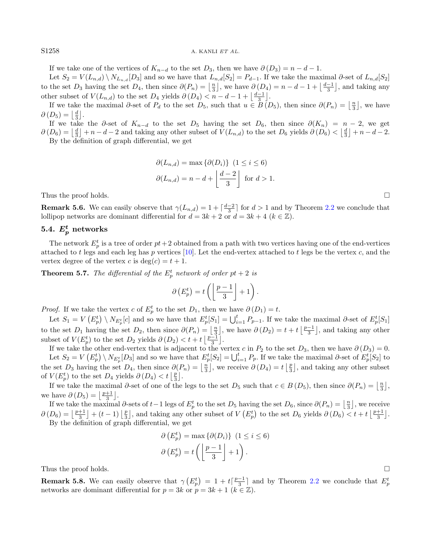S1258 A. KANLI ET AL.

If we take one of the vertices of  $K_{n-d}$  to the set  $D_3$ , then we have  $\partial(D_3) = n - d - 1$ .

Let  $S_2 = V(L_{n,d}) \setminus N_{L_{n,d}}[D_3]$  and so we have that  $L_{n,d}[S_2] = P_{d-1}$ . If we take the maximal ∂-set of  $L_{n,d}[S_2]$ to the set  $D_3$  having the set  $D_4$ , then since  $\partial(P_n) = \lfloor \frac{n}{3} \rfloor$ , we have  $\partial(D_4) = n - d - 1 + \lfloor \frac{d-1}{3} \rfloor$ , and taking any other subset of  $V(L_{n,d})$  to the set  $D_4$  yields  $\partial(D_4) < n - d - 1 + \left\lfloor \frac{d-1}{3} \right\rfloor$ .

If we take the maximal  $\partial$ -set of  $P_d$  to the set  $D_5$ , such that  $u \in B(D_5)$ , then since  $\partial(P_n) = \lfloor \frac{n}{3} \rfloor$ , we have  $\partial(D_5) = \left\lfloor \frac{d}{3} \right\rfloor$ .

If we take the  $\partial$ -set of  $K_{n-d}$  to the set  $D_5$  having the set  $D_6$ , then since  $\partial(K_n) = n-2$ , we get  $\partial(D_6) = \left\lfloor \frac{d}{3} \right\rfloor + n - d - 2$  and taking any other subset of  $V(L_{n,d})$  to the set  $D_6$  yields  $\partial(D_6) < \left\lfloor \frac{d}{3} \right\rfloor + n - d - 2$ . By the definition of graph differential, we get

> $\partial(L_{n,d}) = \max\{\partial(D_i)\}\ (1 \leq i \leq 6)$  $\partial(L_{n,d}) = n - d + \left\lfloor \frac{d-2}{2} \right\rfloor$ 3 for  $d > 1$ .

Thus the proof holds.  $\square$ 

**Remark 5.6.** We can easily observe that  $\gamma(L_{n,d}) = 1 + \lceil \frac{d-2}{3} \rceil$  for  $d > 1$  and by Theorem [2.2](#page-1-1) we conclude that lollipop networks are dominant differential for  $d = 3k + 2$  or  $d = 3k + 4$  ( $k \in \mathbb{Z}$ ).

# $5.4. \: E^t_p \text{ networks}$

The network  $E_p^t$  is a tree of order  $pt+2$  obtained from a path with two vertices having one of the end-vertices attached to t legs and each leg has p vertices  $[10]$ . Let the end-vertex attached to t legs be the vertex c, and the vertex degree of the vertex c is  $deg(c) = t + 1$ .

**Theorem 5.7.** The differential of the  $E_p^t$  network of order  $pt + 2$  is

$$
\partial\left(E_p^t\right) = t\left(\left\lfloor\frac{p-1}{3}\right\rfloor + 1\right).
$$

*Proof.* If we take the vertex c of  $E_p^t$  to the set  $D_1$ , then we have  $\partial(D_1) = t$ .

Let  $S_1 = V(E_p^t) \setminus N_{E_p^t}[c]$  and so we have that  $E_p^t[S_1] = \bigcup_{i=1}^t P_{p-1}$ . If we take the maximal  $\partial$ -set of  $E_p^t[S_1]$ to the set  $D_1$  having the set  $D_2$ , then since  $\partial(P_n) = \lfloor \frac{n}{3} \rfloor$ , we have  $\partial(D_2) = t + t \lfloor \frac{p-1}{3} \rfloor$ , and taking any other subset of  $V(E_p^t)$  to the set  $D_2$  yields  $\partial(D_2) < t + t \left[\frac{p-1}{3}\right]$ .

If we take the other end-vertex that is adjacent to the vertex c in  $P_2$  to the set  $D_3$ , then we have  $\partial(D_3) = 0$ . Let  $S_2 = V(E_p^t) \setminus N_{E_p^t}[D_3]$  and so we have that  $E_p^t[S_2] = \bigcup_{i=1}^t P_p$ . If we take the maximal  $\partial$ -set of  $E_p^t[S_2]$  to the set  $D_3$  having the set  $D_4$ , then since  $\partial(P_n) = \lfloor \frac{n}{3} \rfloor$ , we receive  $\partial(D_4) = t \lfloor \frac{p}{3} \rfloor$ , and taking any other subset of  $V(E_p^t)$  to the set  $D_4$  yields  $\partial(D_4) < t \left\lfloor \frac{p}{3} \right\rfloor$ .

If we take the maximal  $\partial$ -set of one of the legs to the set  $D_5$  such that  $c \in B(D_5)$ , then since  $\partial(P_n) = \left\lfloor \frac{n}{3} \right\rfloor$ , we have  $\partial(D_5) = \left\lfloor \frac{p+1}{3} \right\rfloor$ .

If we take the maximal  $\partial$ -sets of  $t-1$  legs of  $E_p^t$  to the set  $D_5$  having the set  $D_6$ , since  $\partial(P_n) = \lfloor \frac{n}{3} \rfloor$ , we receive  $\partial(D_6) = \left\lfloor \frac{p+1}{3} \right\rfloor + (t-1) \left\lfloor \frac{p}{3} \right\rfloor$ , and taking any other subset of  $V(E_p^t)$  to the set  $D_6$  yields  $\partial(D_6) < t + t \left\lfloor \frac{p+1}{3} \right\rfloor$ . By the definition of graph differential, we get

$$
\partial \left( E_p^t \right) = \max \left\{ \partial(D_i) \right\} \ (1 \le i \le 6)
$$

$$
\partial \left( E_p^t \right) = t \left( \left\lfloor \frac{p-1}{3} \right\rfloor + 1 \right).
$$

Thus the proof holds.  $\square$ 

**Remark 5.8.** We can easily observe that  $\gamma(E_p^t) = 1 + t\left[\frac{p-1}{3}\right]$  and by Theorem [2.2](#page-1-1) we conclude that  $E_p^t$ networks are dominant differential for  $p = 3k$  or  $p = 3k + 1$   $(k \in \mathbb{Z})$ .